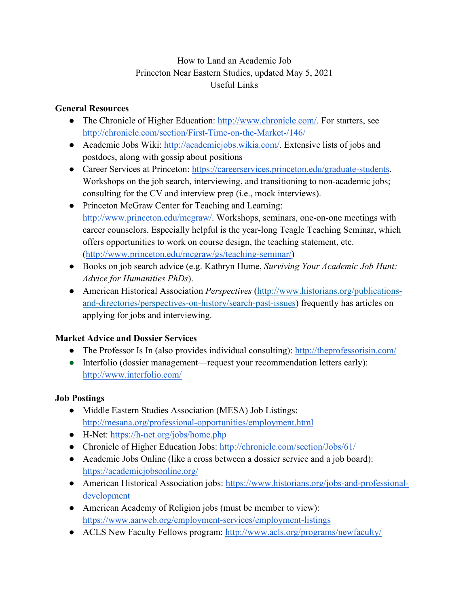## How to Land an Academic Job Princeton Near Eastern Studies, updated May 5, 2021 Useful Links

#### **General Resources**

- The Chronicle of Higher Education: [http://www.chronicle.com/.](http://www.chronicle.com/) For starters, see <http://chronicle.com/section/First-Time-on-the-Market-/146/>
- Academic Jobs Wiki: [http://academicjobs.wikia.com/.](http://academicjobs.wikia.com/) Extensive lists of jobs and postdocs, along with gossip about positions
- Career Services at Princeton: [https://careerservices.princeton.edu/graduate-students.](https://careerservices.princeton.edu/graduate-students) Workshops on the job search, interviewing, and transitioning to non-academic jobs; consulting for the CV and interview prep (i.e., mock interviews).
- Princeton McGraw Center for Teaching and Learning: [http://www.princeton.edu/mcgraw/.](http://www.princeton.edu/mcgraw/) Workshops, seminars, one-on-one meetings with career counselors. Especially helpful is the year-long Teagle Teaching Seminar, which offers opportunities to work on course design, the teaching statement, etc. [\(http://www.princeton.edu/mcgraw/gs/teaching-seminar/\)](http://www.princeton.edu/mcgraw/gs/teaching-seminar/)
- Books on job search advice (e.g. Kathryn Hume, *Surviving Your Academic Job Hunt: Advice for Humanities PhDs*).
- American Historical Association *Perspectives* [\(http://www.historians.org/publications](http://www.historians.org/publications-and-directories/perspectives-on-history/search-past-issues)[and-directories/perspectives-on-history/search-past-issues\)](http://www.historians.org/publications-and-directories/perspectives-on-history/search-past-issues) frequently has articles on applying for jobs and interviewing.

### **Market Advice and Dossier Services**

- The Professor Is In (also provides individual consulting):<http://theprofessorisin.com/>
- Interfolio (dossier management—request your recommendation letters early): <http://www.interfolio.com/>

# **Job Postings**

- Middle Eastern Studies Association (MESA) Job Listings: [http://mesana.org/professional-opportunities/employment.html](http://mesana.org/professional-opportunities/employment.html.)
- H-Net:<https://h-net.org/jobs/home.php>
- Chronicle of Higher Education Jobs:<http://chronicle.com/section/Jobs/61/>
- Academic Jobs Online (like a cross between a dossier service and a job board): <https://academicjobsonline.org/>
- American Historical Association jobs: [https://www.historians.org/jobs-and-professional](https://www.historians.org/jobs-and-professional-development)[development](https://www.historians.org/jobs-and-professional-development)
- American Academy of Religion jobs (must be member to view): <https://www.aarweb.org/employment-services/employment-listings>
- ACLS New Faculty Fellows program:<http://www.acls.org/programs/newfaculty/>